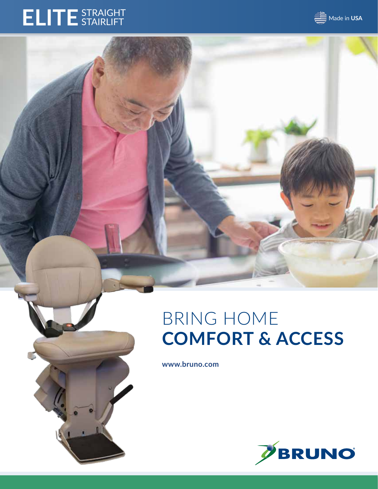# **ELITE**STRAIGHT STAIRLIFT



**www.bruno.com**



**SE** Made in USA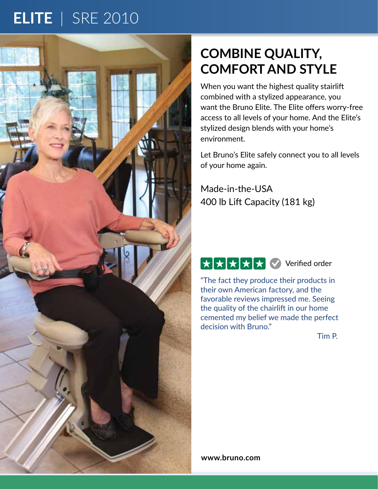# **ELITE** | SRE 2010



## **COMBINE QUALITY, COMFORT AND STYLE**

When you want the highest quality stairlift combined with a stylized appearance, you want the Bruno Elite. The Elite offers worry-free access to all levels of your home. And the Elite's stylized design blends with your home's environment.

Let Bruno's Elite safely connect you to all levels of your home again.

Made-in-the-USA 400 lb Lift Capacity (181 kg)



"The fact they produce their products in their own American factory, and the favorable reviews impressed me. Seeing the quality of the chairlift in our home cemented my belief we made the perfect decision with Bruno."

Tim P.

**www.bruno.com**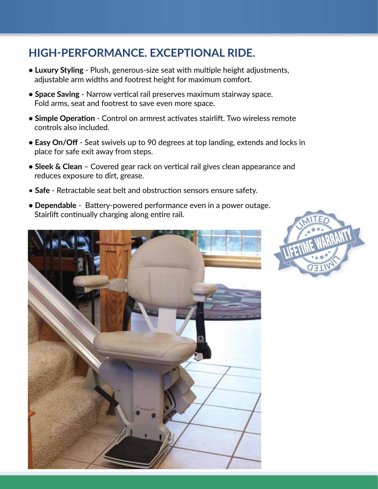#### **HIGH-PERFORMANCE. EXCEPTIONAL RIDE.**

- **Luxury Styling** Plush, generous-size seat with multiple height adjustments, adjustable arm widths and footrest height for maximum comfort.
- **Space Saving** Narrow vertical rail preserves maximum stairway space. Fold arms, seat and footrest to save even more space.
- **Simple Operation** Control on armrest activates stairlift. Two wireless remote controls also included.
- **Easy On/Off** Seat swivels up to 90 degrees at top landing, extends and locks in place for safe exit away from steps.
- **Sleek & Clean** Covered gear rack on vertical rail gives clean appearance and reduces exposure to dirt, grease.
- **Safe** Retractable seat belt and obstruction sensors ensure safety.
- **Dependable** Battery-powered performance even in a power outage. Stairlift continually charging along entire rail.



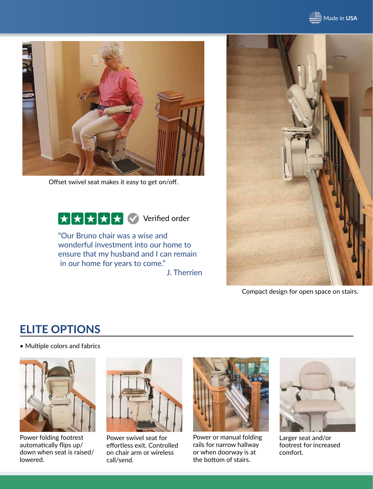**SE** Made in USA



Offset swivel seat makes it easy to get on/off.



"Our Bruno chair was a wise and wonderful investment into our home to ensure that my husband and I can remain in our home for years to come."

J. Therrien



Compact design for open space on stairs.

#### **ELITE OPTIONS**

• Multiple colors and fabrics



Power folding footrest automatically flips up/ down when seat is raised/ lowered.



Power swivel seat for effortless exit. Controlled on chair arm or wireless call/send.



Power or manual folding rails for narrow hallway or when doorway is at the bottom of stairs.



Larger seat and/or footrest for increased comfort.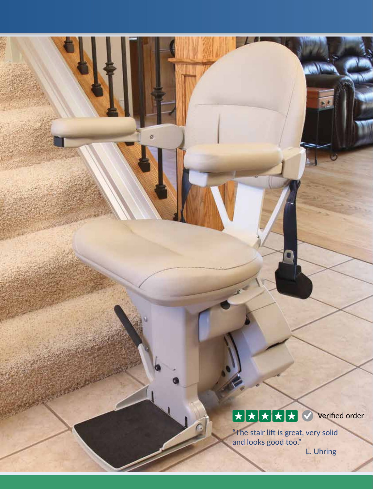### Verified order

"The stair lift is great, very solid and looks good too."

L. Uhring